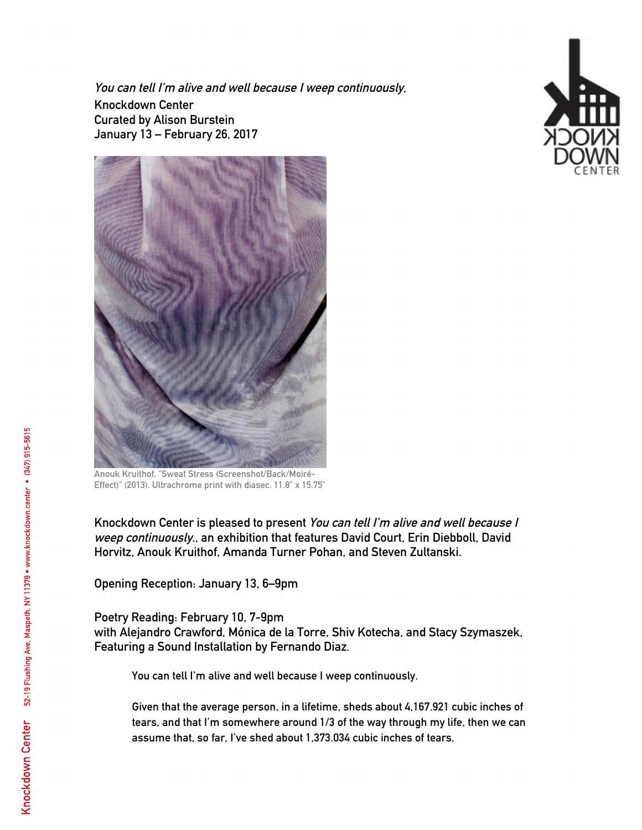**You can tell I'm alive and well because I weep continuously. Knockdown Center Curated by Alison Burstein January 13 – February 26, 2017**





**Anouk Kruithof, "Sweat Stress (Screenshot/Back/Moiré-Effect)" (2013). Ultrachrome print with diasec. 11.8" x 15.75"**

**Knockdown Center is pleased to present You can tell I'm alive and well because I weep continuously., an exhibition that features David Court, Erin Diebboll, David Horvitz, Anouk Kruithof, Amanda Turner Pohan, and Steven Zultanski.**

**Opening Reception: January 13, 6–9pm**

**Poetry Reading: February 10, 7-9pm with Alejandro Crawford, Mónica de la Torre, Shiv Kotecha, and Stacy Szymaszek, Featuring a Sound Installation by Fernando Diaz.**

**You can tell I'm alive and well because I weep continuously.**

**Given that the average person, in a lifetime, sheds about 4,167.921 cubic inches of tears, and that I'm somewhere around 1/3 of the way through my life, then we can assume that, so far, I've shed about 1,373.034 cubic inches of tears.**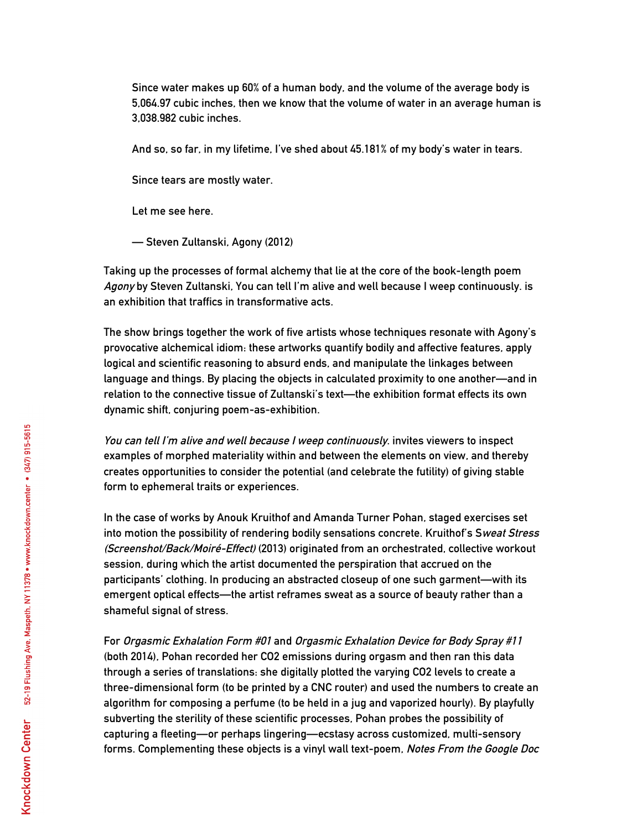**Since water makes up 60% of a human body, and the volume of the average body is 5,064.97 cubic inches, then we know that the volume of water in an average human is 3,038.982 cubic inches.**

**And so, so far, in my lifetime, I've shed about 45.181% of my body's water in tears.**

**Since tears are mostly water.**

**Let me see here.** 

**— Steven Zultanski, Agony (2012)**

**Taking up the processes of formal alchemy that lie at the core of the book-length poem Agony by Steven Zultanski, You can tell I'm alive and well because I weep continuously. is an exhibition that traffics in transformative acts.**

**The show brings together the work of five artists whose techniques resonate with Agony's provocative alchemical idiom: these artworks quantify bodily and affective features, apply logical and scientific reasoning to absurd ends, and manipulate the linkages between language and things. By placing the objects in calculated proximity to one another—and in relation to the connective tissue of Zultanski's text—the exhibition format effects its own dynamic shift, conjuring poem-as-exhibition.** 

**You can tell I'm alive and well because I weep continuously. invites viewers to inspect examples of morphed materiality within and between the elements on view, and thereby creates opportunities to consider the potential (and celebrate the futility) of giving stable form to ephemeral traits or experiences.**

**In the case of works by Anouk Kruithof and Amanda Turner Pohan, staged exercises set into motion the possibility of rendering bodily sensations concrete. Kruithof's Sweat Stress (Screenshot/Back/Moiré-Effect) (2013) originated from an orchestrated, collective workout session, during which the artist documented the perspiration that accrued on the participants' clothing. In producing an abstracted closeup of one such garment—with its emergent optical effects—the artist reframes sweat as a source of beauty rather than a shameful signal of stress.** 

**For Orgasmic Exhalation Form #01 and Orgasmic Exhalation Device for Body Spray #11 (both 2014), Pohan recorded her CO2 emissions during orgasm and then ran this data through a series of translations: she digitally plotted the varying CO2 levels to create a three-dimensional form (to be printed by a CNC router) and used the numbers to create an algorithm for composing a perfume (to be held in a jug and vaporized hourly). By playfully subverting the sterility of these scientific processes, Pohan probes the possibility of capturing a fleeting—or perhaps lingering—ecstasy across customized, multi-sensory forms. Complementing these objects is a vinyl wall text-poem, Notes From the Google Doc**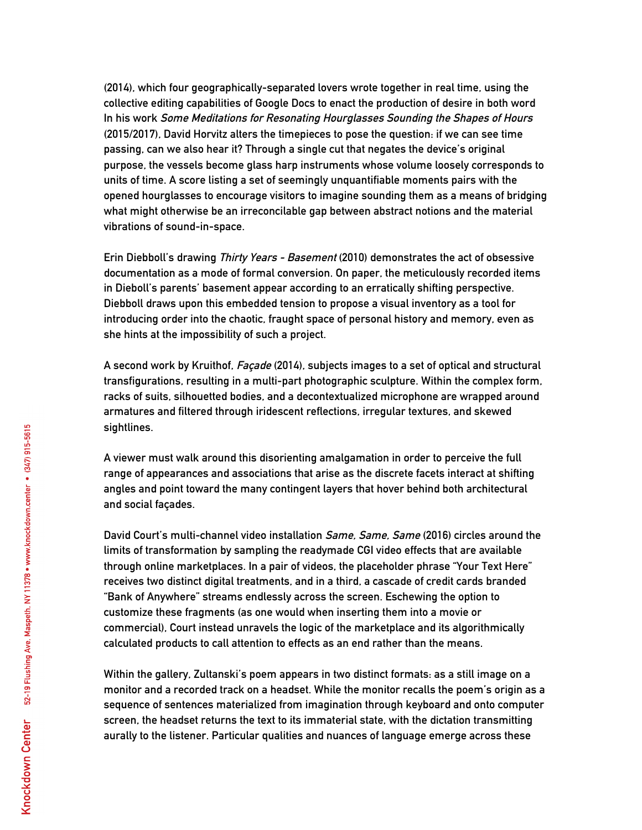**(2014), which four geographically-separated lovers wrote together in real time, using the collective editing capabilities of Google Docs to enact the production of desire in both word In his work Some Meditations for Resonating Hourglasses Sounding the Shapes of Hours (2015/2017), David Horvitz alters the timepieces to pose the question: if we can see time passing, can we also hear it? Through a single cut that negates the device's original purpose, the vessels become glass harp instruments whose volume loosely corresponds to units of time. A score listing a set of seemingly unquantifiable moments pairs with the opened hourglasses to encourage visitors to imagine sounding them as a means of bridging what might otherwise be an irreconcilable gap between abstract notions and the material vibrations of sound-in-space.**

**Erin Diebboll's drawing Thirty Years - Basement (2010) demonstrates the act of obsessive documentation as a mode of formal conversion. On paper, the meticulously recorded items in Dieboll's parents' basement appear according to an erratically shifting perspective. Diebboll draws upon this embedded tension to propose a visual inventory as a tool for introducing order into the chaotic, fraught space of personal history and memory, even as she hints at the impossibility of such a project.**

**A second work by Kruithof, Façade (2014), subjects images to a set of optical and structural transfigurations, resulting in a multi-part photographic sculpture. Within the complex form, racks of suits, silhouetted bodies, and a decontextualized microphone are wrapped around armatures and filtered through iridescent reflections, irregular textures, and skewed sightlines.** 

**A viewer must walk around this disorienting amalgamation in order to perceive the full range of appearances and associations that arise as the discrete facets interact at shifting angles and point toward the many contingent layers that hover behind both architectural and social façades.**

**David Court's multi-channel video installation Same, Same, Same (2016) circles around the limits of transformation by sampling the readymade CGI video effects that are available through online marketplaces. In a pair of videos, the placeholder phrase "Your Text Here" receives two distinct digital treatments, and in a third, a cascade of credit cards branded "Bank of Anywhere" streams endlessly across the screen. Eschewing the option to customize these fragments (as one would when inserting them into a movie or commercial), Court instead unravels the logic of the marketplace and its algorithmically calculated products to call attention to effects as an end rather than the means.**

**Within the gallery, Zultanski's poem appears in two distinct formats: as a still image on a monitor and a recorded track on a headset. While the monitor recalls the poem's origin as a sequence of sentences materialized from imagination through keyboard and onto computer screen, the headset returns the text to its immaterial state, with the dictation transmitting aurally to the listener. Particular qualities and nuances of language emerge across these**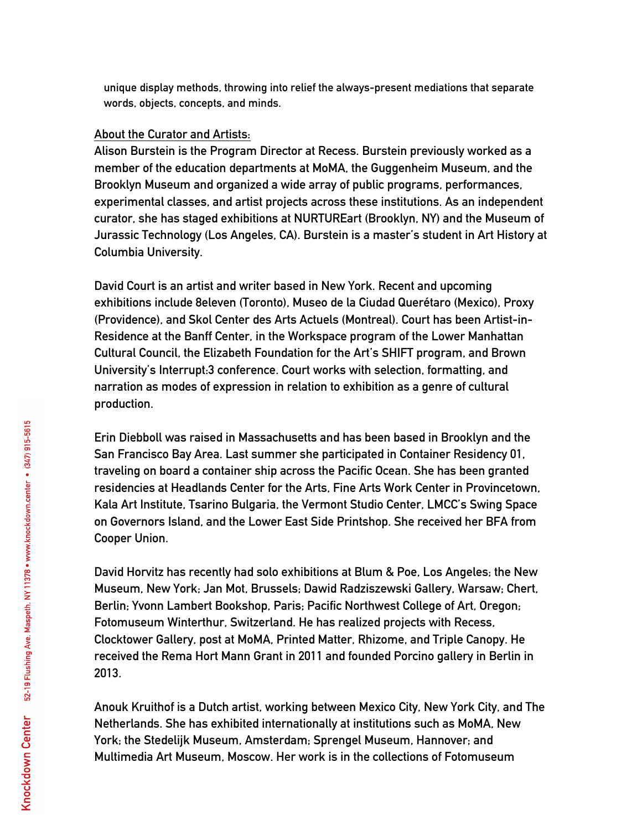**unique display methods, throwing into relief the always-present mediations that separate words, objects, concepts, and minds.** 

## **About the Curator and Artists:**

**Alison Burstein is the Program Director at Recess. Burstein previously worked as a member of the education departments at MoMA, the Guggenheim Museum, and the Brooklyn Museum and organized a wide array of public programs, performances, experimental classes, and artist projects across these institutions. As an independent curator, she has staged exhibitions at NURTUREart (Brooklyn, NY) and the Museum of Jurassic Technology (Los Angeles, CA). Burstein is a master's student in Art History at Columbia University.**

**David Court is an artist and writer based in New York. Recent and upcoming exhibitions include 8eleven (Toronto), Museo de la Ciudad Querétaro (Mexico), Proxy (Providence), and Skol Center des Arts Actuels (Montreal). Court has been Artist-in-Residence at the Banff Center, in the Workspace program of the Lower Manhattan Cultural Council, the Elizabeth Foundation for the Art's SHIFT program, and Brown University's Interrupt:3 conference. Court works with selection, formatting, and narration as modes of expression in relation to exhibition as a genre of cultural production.**

**Erin Diebboll was raised in Massachusetts and has been based in Brooklyn and the San Francisco Bay Area. Last summer she participated in Container Residency 01, traveling on board a container ship across the Pacific Ocean. She has been granted residencies at Headlands Center for the Arts, Fine Arts Work Center in Provincetown, Kala Art Institute, Tsarino Bulgaria, the Vermont Studio Center, LMCC's Swing Space on Governors Island, and the Lower East Side Printshop. She received her BFA from Cooper Union.**

**David Horvitz has recently had solo exhibitions at Blum & Poe, Los Angeles; the New Museum, New York; Jan Mot, Brussels; Dawid Radziszewski Gallery, Warsaw; Chert, Berlin; Yvonn Lambert Bookshop, Paris; Pacific Northwest College of Art, Oregon; Fotomuseum Winterthur, Switzerland. He has realized projects with Recess, Clocktower Gallery, post at MoMA, Printed Matter, Rhizome, and Triple Canopy. He received the Rema Hort Mann Grant in 2011 and founded Porcino gallery in Berlin in 2013.**

**Anouk Kruithof is a Dutch artist, working between Mexico City, New York City, and The Netherlands. She has exhibited internationally at institutions such as MoMA, New York; the Stedelijk Museum, Amsterdam; Sprengel Museum, Hannover; and Multimedia Art Museum, Moscow. Her work is in the collections of Fotomuseum**